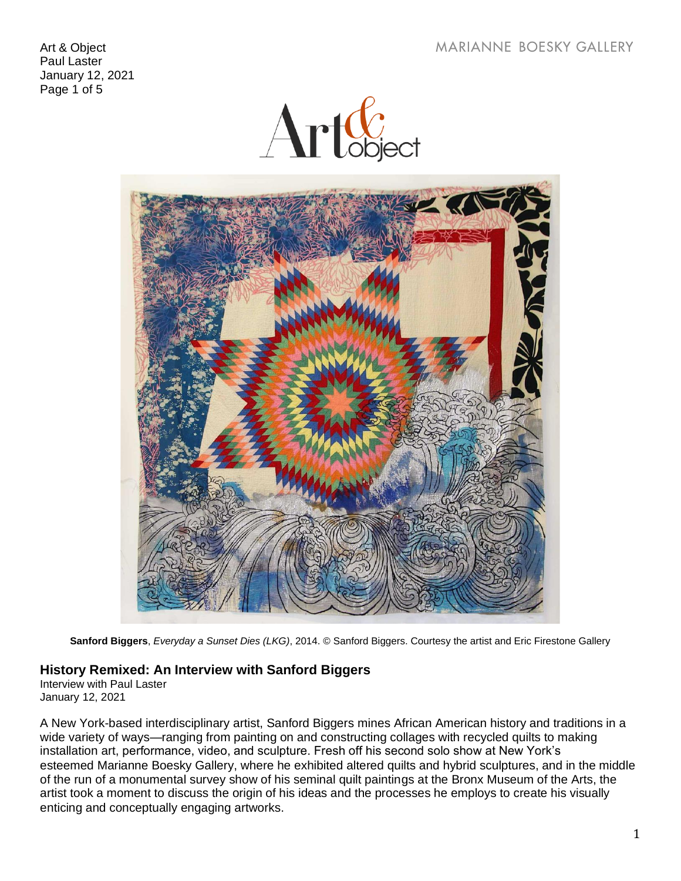**MARIANNE BOESKY GALLERY** 

Art & Object Paul Laster January 12, 2021 Page 1 of 5





**Sanford Biggers**, *Everyday a Sunset Dies (LKG)*, 2014. © Sanford Biggers. Courtesy the artist and Eric Firestone Gallery

## **History Remixed: An Interview with Sanford Biggers**

Interview with Paul Laster January 12, 2021

A New York-based interdisciplinary artist, Sanford Biggers mines African American history and traditions in a wide variety of ways—ranging from painting on and constructing collages with recycled quilts to making installation art, performance, video, and sculpture. Fresh off his second solo show at New York's esteemed Marianne Boesky Gallery, where he exhibited altered quilts and hybrid sculptures, and in the middle of the run of a monumental survey show of his seminal quilt paintings at the Bronx Museum of the Arts, the artist took a moment to discuss the origin of his ideas and the processes he employs to create his visually enticing and conceptually engaging artworks.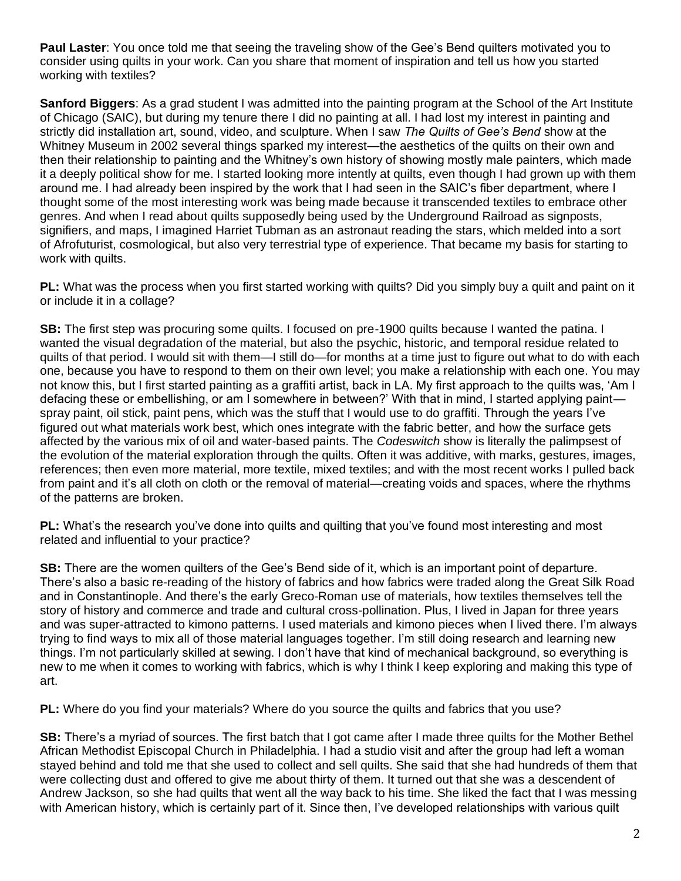**Paul Laster**: You once told me that seeing the traveling show of the Gee's Bend quilters motivated you to consider using quilts in your work. Can you share that moment of inspiration and tell us how you started working with textiles?

**Sanford Biggers**: As a grad student I was admitted into the painting program at the School of the Art Institute of Chicago (SAIC), but during my tenure there I did no painting at all. I had lost my interest in painting and strictly did installation art, sound, video, and sculpture. When I saw *The Quilts of Gee's Bend* show at the Whitney Museum in 2002 several things sparked my interest—the aesthetics of the quilts on their own and then their relationship to painting and the Whitney's own history of showing mostly male painters, which made it a deeply political show for me. I started looking more intently at quilts, even though I had grown up with them around me. I had already been inspired by the work that I had seen in the SAIC's fiber department, where I thought some of the most interesting work was being made because it transcended textiles to embrace other genres. And when I read about quilts supposedly being used by the Underground Railroad as signposts, signifiers, and maps, I imagined Harriet Tubman as an astronaut reading the stars, which melded into a sort of Afrofuturist, cosmological, but also very terrestrial type of experience. That became my basis for starting to work with quilts.

**PL:** What was the process when you first started working with quilts? Did you simply buy a quilt and paint on it or include it in a collage?

**SB:** The first step was procuring some quilts. I focused on pre-1900 quilts because I wanted the patina. I wanted the visual degradation of the material, but also the psychic, historic, and temporal residue related to quilts of that period. I would sit with them—I still do—for months at a time just to figure out what to do with each one, because you have to respond to them on their own level; you make a relationship with each one. You may not know this, but I first started painting as a graffiti artist, back in LA. My first approach to the quilts was, 'Am I defacing these or embellishing, or am I somewhere in between?' With that in mind, I started applying paint spray paint, oil stick, paint pens, which was the stuff that I would use to do graffiti. Through the years I've figured out what materials work best, which ones integrate with the fabric better, and how the surface gets affected by the various mix of oil and water-based paints. The *Codeswitch* show is literally the palimpsest of the evolution of the material exploration through the quilts. Often it was additive, with marks, gestures, images, references; then even more material, more textile, mixed textiles; and with the most recent works I pulled back from paint and it's all cloth on cloth or the removal of material—creating voids and spaces, where the rhythms of the patterns are broken.

**PL:** What's the research you've done into quilts and quilting that you've found most interesting and most related and influential to your practice?

**SB:** There are the women quilters of the Gee's Bend side of it, which is an important point of departure. There's also a basic re-reading of the history of fabrics and how fabrics were traded along the Great Silk Road and in Constantinople. And there's the early Greco-Roman use of materials, how textiles themselves tell the story of history and commerce and trade and cultural cross-pollination. Plus, I lived in Japan for three years and was super-attracted to kimono patterns. I used materials and kimono pieces when I lived there. I'm always trying to find ways to mix all of those material languages together. I'm still doing research and learning new things. I'm not particularly skilled at sewing. I don't have that kind of mechanical background, so everything is new to me when it comes to working with fabrics, which is why I think I keep exploring and making this type of art.

**PL:** Where do you find your materials? Where do you source the quilts and fabrics that you use?

**SB:** There's a myriad of sources. The first batch that I got came after I made three quilts for the Mother Bethel African Methodist Episcopal Church in Philadelphia. I had a studio visit and after the group had left a woman stayed behind and told me that she used to collect and sell quilts. She said that she had hundreds of them that were collecting dust and offered to give me about thirty of them. It turned out that she was a descendent of Andrew Jackson, so she had quilts that went all the way back to his time. She liked the fact that I was messing with American history, which is certainly part of it. Since then, I've developed relationships with various quilt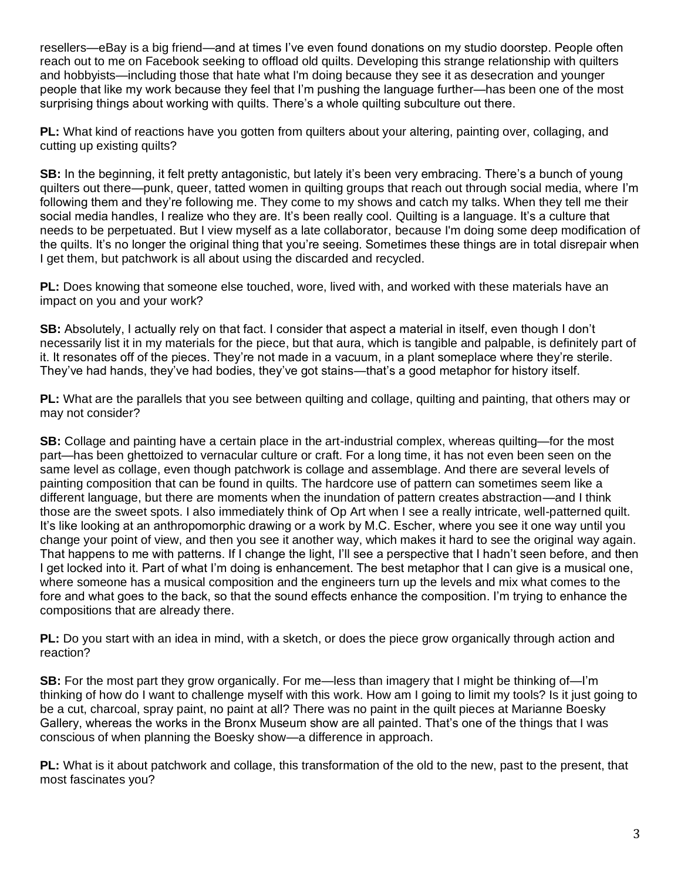resellers—eBay is a big friend—and at times I've even found donations on my studio doorstep. People often reach out to me on Facebook seeking to offload old quilts. Developing this strange relationship with quilters and hobbyists—including those that hate what I'm doing because they see it as desecration and younger people that like my work because they feel that I'm pushing the language further—has been one of the most surprising things about working with quilts. There's a whole quilting subculture out there.

**PL:** What kind of reactions have you gotten from quilters about your altering, painting over, collaging, and cutting up existing quilts?

**SB:** In the beginning, it felt pretty antagonistic, but lately it's been very embracing. There's a bunch of young quilters out there—punk, queer, tatted women in quilting groups that reach out through social media, where I'm following them and they're following me. They come to my shows and catch my talks. When they tell me their social media handles, I realize who they are. It's been really cool. Quilting is a language. It's a culture that needs to be perpetuated. But I view myself as a late collaborator, because I'm doing some deep modification of the quilts. It's no longer the original thing that you're seeing. Sometimes these things are in total disrepair when I get them, but patchwork is all about using the discarded and recycled.

**PL:** Does knowing that someone else touched, wore, lived with, and worked with these materials have an impact on you and your work?

**SB:** Absolutely, I actually rely on that fact. I consider that aspect a material in itself, even though I don't necessarily list it in my materials for the piece, but that aura, which is tangible and palpable, is definitely part of it. It resonates off of the pieces. They're not made in a vacuum, in a plant someplace where they're sterile. They've had hands, they've had bodies, they've got stains—that's a good metaphor for history itself.

**PL:** What are the parallels that you see between quilting and collage, quilting and painting, that others may or may not consider?

**SB:** Collage and painting have a certain place in the art-industrial complex, whereas quilting—for the most part—has been ghettoized to vernacular culture or craft. For a long time, it has not even been seen on the same level as collage, even though patchwork is collage and assemblage. And there are several levels of painting composition that can be found in quilts. The hardcore use of pattern can sometimes seem like a different language, but there are moments when the inundation of pattern creates abstraction—and I think those are the sweet spots. I also immediately think of Op Art when I see a really intricate, well-patterned quilt. It's like looking at an anthropomorphic drawing or a work by M.C. Escher, where you see it one way until you change your point of view, and then you see it another way, which makes it hard to see the original way again. That happens to me with patterns. If I change the light, I'll see a perspective that I hadn't seen before, and then I get locked into it. Part of what I'm doing is enhancement. The best metaphor that I can give is a musical one, where someone has a musical composition and the engineers turn up the levels and mix what comes to the fore and what goes to the back, so that the sound effects enhance the composition. I'm trying to enhance the compositions that are already there.

**PL:** Do you start with an idea in mind, with a sketch, or does the piece grow organically through action and reaction?

**SB:** For the most part they grow organically. For me—less than imagery that I might be thinking of—I'm thinking of how do I want to challenge myself with this work. How am I going to limit my tools? Is it just going to be a cut, charcoal, spray paint, no paint at all? There was no paint in the quilt pieces at Marianne Boesky Gallery, whereas the works in the Bronx Museum show are all painted. That's one of the things that I was conscious of when planning the Boesky show—a difference in approach.

**PL:** What is it about patchwork and collage, this transformation of the old to the new, past to the present, that most fascinates you?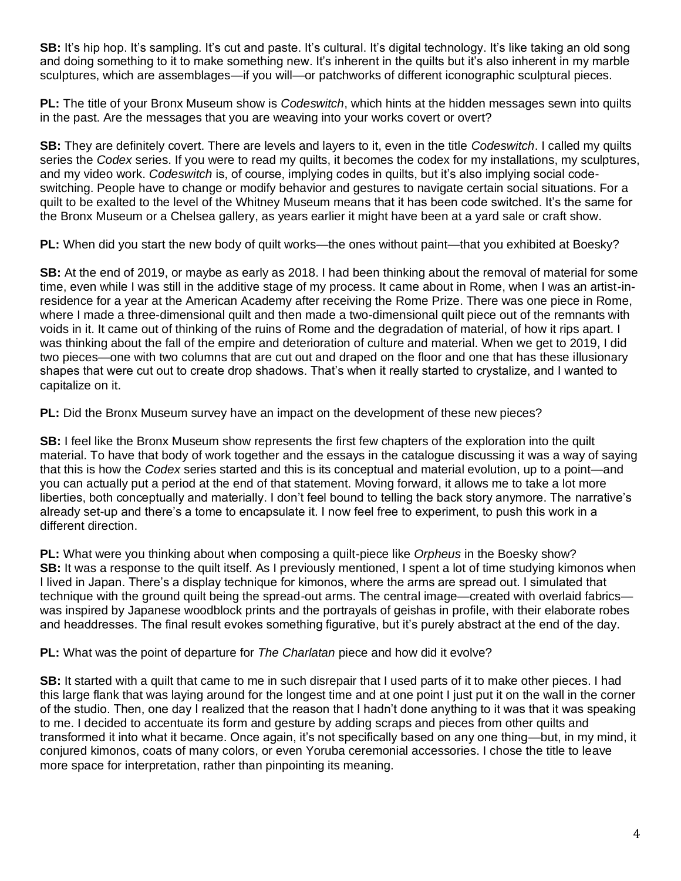**SB:** It's hip hop. It's sampling. It's cut and paste. It's cultural. It's digital technology. It's like taking an old song and doing something to it to make something new. It's inherent in the quilts but it's also inherent in my marble sculptures, which are assemblages—if you will—or patchworks of different iconographic sculptural pieces.

**PL:** The title of your Bronx Museum show is *Codeswitch*, which hints at the hidden messages sewn into quilts in the past. Are the messages that you are weaving into your works covert or overt?

**SB:** They are definitely covert. There are levels and layers to it, even in the title *Codeswitch*. I called my quilts series the *Codex* series. If you were to read my quilts, it becomes the codex for my installations, my sculptures, and my video work. *Codeswitch* is, of course, implying codes in quilts, but it's also implying social codeswitching. People have to change or modify behavior and gestures to navigate certain social situations. For a quilt to be exalted to the level of the Whitney Museum means that it has been code switched. It's the same for the Bronx Museum or a Chelsea gallery, as years earlier it might have been at a yard sale or craft show.

**PL:** When did you start the new body of quilt works—the ones without paint—that you exhibited at Boesky?

**SB:** At the end of 2019, or maybe as early as 2018. I had been thinking about the removal of material for some time, even while I was still in the additive stage of my process. It came about in Rome, when I was an artist-inresidence for a year at the American Academy after receiving the Rome Prize. There was one piece in Rome, where I made a three-dimensional quilt and then made a two-dimensional quilt piece out of the remnants with voids in it. It came out of thinking of the ruins of Rome and the degradation of material, of how it rips apart. I was thinking about the fall of the empire and deterioration of culture and material. When we get to 2019, I did two pieces—one with two columns that are cut out and draped on the floor and one that has these illusionary shapes that were cut out to create drop shadows. That's when it really started to crystalize, and I wanted to capitalize on it.

**PL:** Did the Bronx Museum survey have an impact on the development of these new pieces?

**SB:** I feel like the Bronx Museum show represents the first few chapters of the exploration into the quilt material. To have that body of work together and the essays in the catalogue discussing it was a way of saying that this is how the *Codex* series started and this is its conceptual and material evolution, up to a point—and you can actually put a period at the end of that statement. Moving forward, it allows me to take a lot more liberties, both conceptually and materially. I don't feel bound to telling the back story anymore. The narrative's already set-up and there's a tome to encapsulate it. I now feel free to experiment, to push this work in a different direction.

**PL:** What were you thinking about when composing a quilt-piece like *Orpheus* in the Boesky show? **SB:** It was a response to the quilt itself. As I previously mentioned, I spent a lot of time studying kimonos when I lived in Japan. There's a display technique for kimonos, where the arms are spread out. I simulated that technique with the ground quilt being the spread-out arms. The central image—created with overlaid fabrics was inspired by Japanese woodblock prints and the portrayals of geishas in profile, with their elaborate robes and headdresses. The final result evokes something figurative, but it's purely abstract at the end of the day.

**PL:** What was the point of departure for *The Charlatan* piece and how did it evolve?

**SB:** It started with a quilt that came to me in such disrepair that I used parts of it to make other pieces. I had this large flank that was laying around for the longest time and at one point I just put it on the wall in the corner of the studio. Then, one day I realized that the reason that I hadn't done anything to it was that it was speaking to me. I decided to accentuate its form and gesture by adding scraps and pieces from other quilts and transformed it into what it became. Once again, it's not specifically based on any one thing—but, in my mind, it conjured kimonos, coats of many colors, or even Yoruba ceremonial accessories. I chose the title to leave more space for interpretation, rather than pinpointing its meaning.